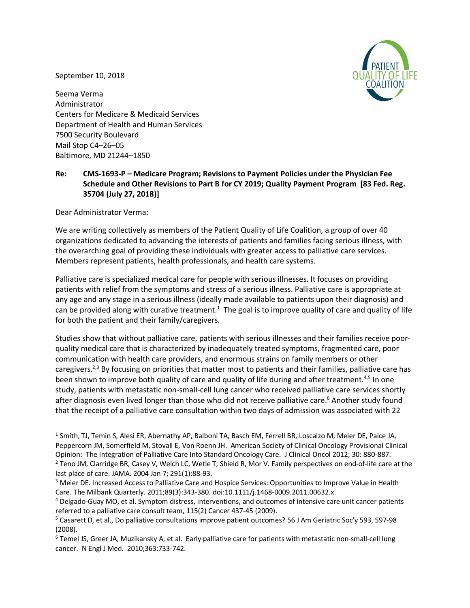September 10, 2018



Seema Verma Administrator Centers for Medicare & Medicaid Services Department of Health and Human Services 7500 Security Boulevard Mail Stop C4–26–05 Baltimore, MD 21244–1850

# **Re: CMS-1693-P – Medicare Program; Revisions to Payment Policies under the Physician Fee Schedule and Other Revisions to Part B for CY 2019; Quality Payment Program [83 Fed. Reg. 35704 (July 27, 2018)]**

Dear Administrator Verma:

We are writing collectively as members of the Patient Quality of Life Coalition, a group of over 40 organizations dedicated to advancing the interests of patients and families facing serious illness, with the overarching goal of providing these individuals with greater access to palliative care services. Members represent patients, health professionals, and health care systems.

Palliative care is specialized medical care for people with serious illnesses. It focuses on providing patients with relief from the symptoms and stress of a serious illness. Palliative care is appropriate at any age and any stage in a serious illness (ideally made available to patients upon their diagnosis) and can be provided along with curative treatment.<sup>1</sup> The goal is to improve quality of care and quality of life for both the patient and their family/caregivers.

Studies show that without palliative care, patients with serious illnesses and their families receive poorquality medical care that is characterized by inadequately treated symptoms, fragmented care, poor communication with health care providers, and enormous strains on family members or other caregivers.<sup>2,3</sup> By focusing on priorities that matter most to patients and their families, palliative care has been shown to improve both quality of care and quality of life during and after treatment.<sup>4,5</sup> In one study, patients with metastatic non-small-cell lung cancer who received palliative care services shortly after diagnosis even lived longer than those who did not receive palliative care.<sup>6</sup> Another study found that the receipt of a palliative care consultation within two days of admission was associated with 22

 <sup>1</sup> Smith, TJ, Temin S, Alesi ER, Abernathy AP, Balboni TA, Basch EM, Ferrell BR, Loscalzo M, Meier DE, Paice JA, Peppercorn JM, Somerfield M, Stovall E, Von Roenn JH. American Society of Clinical Oncology Provisional Clinical Opinion: The Integration of Palliative Care Into Standard Oncology Care. J Clinical Oncol 2012; 30: 880-887.

<sup>&</sup>lt;sup>2</sup> Teno JM, Clarridge BR, Casey V, Welch LC, Wetle T, Shield R, Mor V. Family perspectives on end-of-life care at the last place of care. JAMA. 2004 Jan 7; 291(1):88-93.

<sup>&</sup>lt;sup>3</sup> Meier DE. Increased Access to Palliative Care and Hospice Services: Opportunities to Improve Value in Health Care. The Milbank Quarterly. 2011;89(3):343-380. doi:10.1111/j.1468-0009.2011.00632.x.

<sup>4</sup> Delgado-Guay MO, et al. Symptom distress, interventions, and outcomes of intensive care unit cancer patients referred to a palliative care consult team, 115(2) Cancer 437-45 (2009).

<sup>5</sup> Casarett D, et al., Do palliative consultations improve patient outcomes? 56 J Am Geriatric Soc'y 593, 597-98 (2008).

<sup>6</sup> Temel JS, Greer JA, Muzikansky A, et al. Early palliative care for patients with metastatic non-small-cell lung cancer. N Engl J Med. 2010;363:733-742.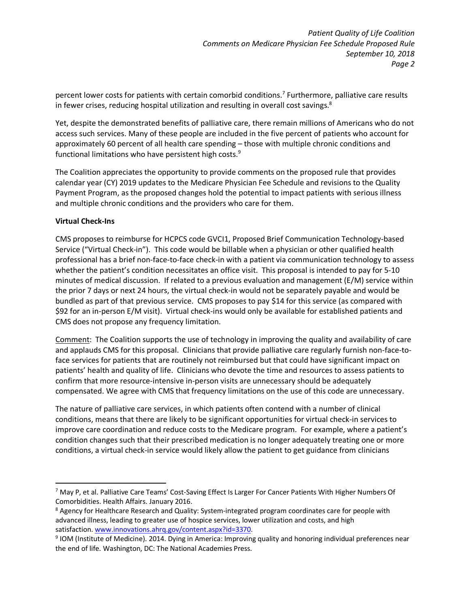percent lower costs for patients with certain comorbid conditions.<sup>7</sup> Furthermore, palliative care results in fewer crises, reducing hospital utilization and resulting in overall cost savings.<sup>8</sup>

Yet, despite the demonstrated benefits of palliative care, there remain millions of Americans who do not access such services. Many of these people are included in the five percent of patients who account for approximately 60 percent of all health care spending – those with multiple chronic conditions and functional limitations who have persistent high costs.9

The Coalition appreciates the opportunity to provide comments on the proposed rule that provides calendar year (CY) 2019 updates to the Medicare Physician Fee Schedule and revisions to the Quality Payment Program, as the proposed changes hold the potential to impact patients with serious illness and multiple chronic conditions and the providers who care for them.

## **Virtual Check-Ins**

CMS proposes to reimburse for HCPCS code GVCI1, Proposed Brief Communication Technology-based Service ("Virtual Check-in"). This code would be billable when a physician or other qualified health professional has a brief non-face-to-face check-in with a patient via communication technology to assess whether the patient's condition necessitates an office visit. This proposal is intended to pay for 5-10 minutes of medical discussion. If related to a previous evaluation and management (E/M) service within the prior 7 days or next 24 hours, the virtual check-in would not be separately payable and would be bundled as part of that previous service. CMS proposes to pay \$14 for this service (as compared with \$92 for an in-person E/M visit). Virtual check-ins would only be available for established patients and CMS does not propose any frequency limitation.

Comment: The Coalition supports the use of technology in improving the quality and availability of care and applauds CMS for this proposal. Clinicians that provide palliative care regularly furnish non-face-toface services for patients that are routinely not reimbursed but that could have significant impact on patients' health and quality of life. Clinicians who devote the time and resources to assess patients to confirm that more resource-intensive in-person visits are unnecessary should be adequately compensated. We agree with CMS that frequency limitations on the use of this code are unnecessary.

The nature of palliative care services, in which patients often contend with a number of clinical conditions, means that there are likely to be significant opportunities for virtual check-in services to improve care coordination and reduce costs to the Medicare program. For example, where a patient's condition changes such that their prescribed medication is no longer adequately treating one or more conditions, a virtual check-in service would likely allow the patient to get guidance from clinicians

 <sup>7</sup> May P, et al. Palliative Care Teams' Cost-Saving Effect Is Larger For Cancer Patients With Higher Numbers Of Comorbidities. Health Affairs. January 2016.

<sup>&</sup>lt;sup>8</sup> Agency for Healthcare Research and Quality: System-integrated program coordinates care for people with advanced illness, leading to greater use of hospice services, lower utilization and costs, and high satisfaction. www.innovations.ahrq.gov/content.aspx?id=3370.

<sup>9</sup> IOM (Institute of Medicine). 2014. Dying in America: Improving quality and honoring individual preferences near the end of life. Washington, DC: The National Academies Press.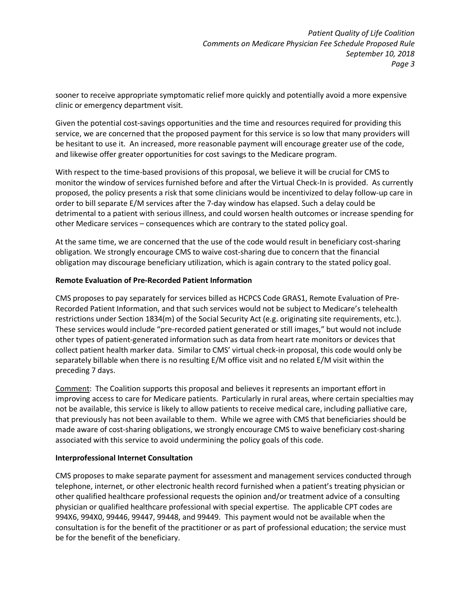sooner to receive appropriate symptomatic relief more quickly and potentially avoid a more expensive clinic or emergency department visit.

Given the potential cost-savings opportunities and the time and resources required for providing this service, we are concerned that the proposed payment for this service is so low that many providers will be hesitant to use it. An increased, more reasonable payment will encourage greater use of the code, and likewise offer greater opportunities for cost savings to the Medicare program.

With respect to the time-based provisions of this proposal, we believe it will be crucial for CMS to monitor the window of services furnished before and after the Virtual Check-In is provided. As currently proposed, the policy presents a risk that some clinicians would be incentivized to delay follow-up care in order to bill separate E/M services after the 7-day window has elapsed. Such a delay could be detrimental to a patient with serious illness, and could worsen health outcomes or increase spending for other Medicare services – consequences which are contrary to the stated policy goal.

At the same time, we are concerned that the use of the code would result in beneficiary cost-sharing obligation. We strongly encourage CMS to waive cost-sharing due to concern that the financial obligation may discourage beneficiary utilization, which is again contrary to the stated policy goal.

### **Remote Evaluation of Pre-Recorded Patient Information**

CMS proposes to pay separately for services billed as HCPCS Code GRAS1, Remote Evaluation of Pre-Recorded Patient Information, and that such services would not be subject to Medicare's telehealth restrictions under Section 1834(m) of the Social Security Act (e.g. originating site requirements, etc.). These services would include "pre-recorded patient generated or still images," but would not include other types of patient-generated information such as data from heart rate monitors or devices that collect patient health marker data. Similar to CMS' virtual check-in proposal, this code would only be separately billable when there is no resulting E/M office visit and no related E/M visit within the preceding 7 days.

Comment: The Coalition supports this proposal and believes it represents an important effort in improving access to care for Medicare patients. Particularly in rural areas, where certain specialties may not be available, this service is likely to allow patients to receive medical care, including palliative care, that previously has not been available to them. While we agree with CMS that beneficiaries should be made aware of cost-sharing obligations, we strongly encourage CMS to waive beneficiary cost-sharing associated with this service to avoid undermining the policy goals of this code.

### **Interprofessional Internet Consultation**

CMS proposes to make separate payment for assessment and management services conducted through telephone, internet, or other electronic health record furnished when a patient's treating physician or other qualified healthcare professional requests the opinion and/or treatment advice of a consulting physician or qualified healthcare professional with special expertise. The applicable CPT codes are 994X6, 994X0, 99446, 99447, 99448, and 99449. This payment would not be available when the consultation is for the benefit of the practitioner or as part of professional education; the service must be for the benefit of the beneficiary.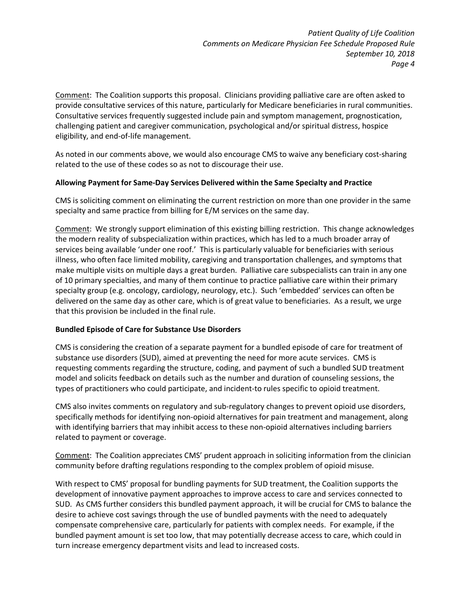Comment: The Coalition supports this proposal. Clinicians providing palliative care are often asked to provide consultative services of this nature, particularly for Medicare beneficiaries in rural communities. Consultative services frequently suggested include pain and symptom management, prognostication, challenging patient and caregiver communication, psychological and/or spiritual distress, hospice eligibility, and end-of-life management.

As noted in our comments above, we would also encourage CMS to waive any beneficiary cost-sharing related to the use of these codes so as not to discourage their use.

## **Allowing Payment for Same-Day Services Delivered within the Same Specialty and Practice**

CMS is soliciting comment on eliminating the current restriction on more than one provider in the same specialty and same practice from billing for E/M services on the same day.

Comment: We strongly support elimination of this existing billing restriction. This change acknowledges the modern reality of subspecialization within practices, which has led to a much broader array of services being available 'under one roof.' This is particularly valuable for beneficiaries with serious illness, who often face limited mobility, caregiving and transportation challenges, and symptoms that make multiple visits on multiple days a great burden. Palliative care subspecialists can train in any one of 10 primary specialties, and many of them continue to practice palliative care within their primary specialty group (e.g. oncology, cardiology, neurology, etc.). Such 'embedded' services can often be delivered on the same day as other care, which is of great value to beneficiaries. As a result, we urge that this provision be included in the final rule.

## **Bundled Episode of Care for Substance Use Disorders**

CMS is considering the creation of a separate payment for a bundled episode of care for treatment of substance use disorders (SUD), aimed at preventing the need for more acute services. CMS is requesting comments regarding the structure, coding, and payment of such a bundled SUD treatment model and solicits feedback on details such as the number and duration of counseling sessions, the types of practitioners who could participate, and incident-to rules specific to opioid treatment.

CMS also invites comments on regulatory and sub-regulatory changes to prevent opioid use disorders, specifically methods for identifying non-opioid alternatives for pain treatment and management, along with identifying barriers that may inhibit access to these non-opioid alternatives including barriers related to payment or coverage.

Comment: The Coalition appreciates CMS' prudent approach in soliciting information from the clinician community before drafting regulations responding to the complex problem of opioid misuse.

With respect to CMS' proposal for bundling payments for SUD treatment, the Coalition supports the development of innovative payment approaches to improve access to care and services connected to SUD. As CMS further considers this bundled payment approach, it will be crucial for CMS to balance the desire to achieve cost savings through the use of bundled payments with the need to adequately compensate comprehensive care, particularly for patients with complex needs. For example, if the bundled payment amount is set too low, that may potentially decrease access to care, which could in turn increase emergency department visits and lead to increased costs.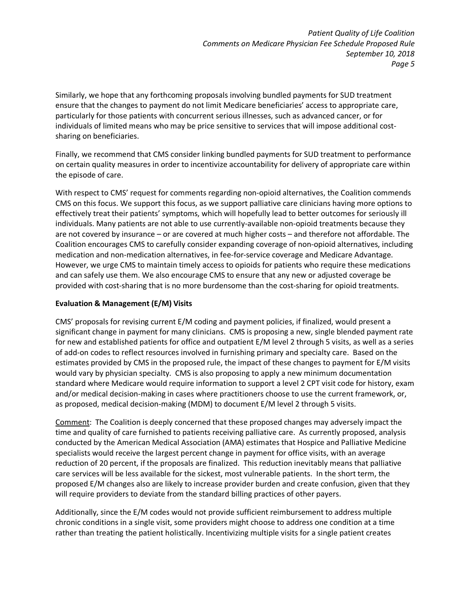Similarly, we hope that any forthcoming proposals involving bundled payments for SUD treatment ensure that the changes to payment do not limit Medicare beneficiaries' access to appropriate care, particularly for those patients with concurrent serious illnesses, such as advanced cancer, or for individuals of limited means who may be price sensitive to services that will impose additional costsharing on beneficiaries.

Finally, we recommend that CMS consider linking bundled payments for SUD treatment to performance on certain quality measures in order to incentivize accountability for delivery of appropriate care within the episode of care.

With respect to CMS' request for comments regarding non-opioid alternatives, the Coalition commends CMS on this focus. We support this focus, as we support palliative care clinicians having more options to effectively treat their patients' symptoms, which will hopefully lead to better outcomes for seriously ill individuals. Many patients are not able to use currently-available non-opioid treatments because they are not covered by insurance – or are covered at much higher costs – and therefore not affordable. The Coalition encourages CMS to carefully consider expanding coverage of non-opioid alternatives, including medication and non-medication alternatives, in fee-for-service coverage and Medicare Advantage. However, we urge CMS to maintain timely access to opioids for patients who require these medications and can safely use them. We also encourage CMS to ensure that any new or adjusted coverage be provided with cost-sharing that is no more burdensome than the cost-sharing for opioid treatments.

## **Evaluation & Management (E/M) Visits**

CMS' proposals for revising current E/M coding and payment policies, if finalized, would present a significant change in payment for many clinicians. CMS is proposing a new, single blended payment rate for new and established patients for office and outpatient E/M level 2 through 5 visits, as well as a series of add-on codes to reflect resources involved in furnishing primary and specialty care. Based on the estimates provided by CMS in the proposed rule, the impact of these changes to payment for E/M visits would vary by physician specialty. CMS is also proposing to apply a new minimum documentation standard where Medicare would require information to support a level 2 CPT visit code for history, exam and/or medical decision-making in cases where practitioners choose to use the current framework, or, as proposed, medical decision-making (MDM) to document E/M level 2 through 5 visits.

Comment: The Coalition is deeply concerned that these proposed changes may adversely impact the time and quality of care furnished to patients receiving palliative care. As currently proposed, analysis conducted by the American Medical Association (AMA) estimates that Hospice and Palliative Medicine specialists would receive the largest percent change in payment for office visits, with an average reduction of 20 percent, if the proposals are finalized. This reduction inevitably means that palliative care services will be less available for the sickest, most vulnerable patients. In the short term, the proposed E/M changes also are likely to increase provider burden and create confusion, given that they will require providers to deviate from the standard billing practices of other payers.

Additionally, since the E/M codes would not provide sufficient reimbursement to address multiple chronic conditions in a single visit, some providers might choose to address one condition at a time rather than treating the patient holistically. Incentivizing multiple visits for a single patient creates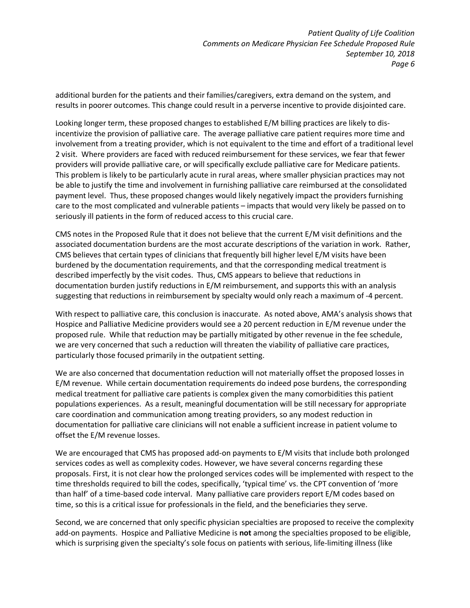additional burden for the patients and their families/caregivers, extra demand on the system, and results in poorer outcomes. This change could result in a perverse incentive to provide disjointed care.

Looking longer term, these proposed changes to established E/M billing practices are likely to disincentivize the provision of palliative care. The average palliative care patient requires more time and involvement from a treating provider, which is not equivalent to the time and effort of a traditional level 2 visit. Where providers are faced with reduced reimbursement for these services, we fear that fewer providers will provide palliative care, or will specifically exclude palliative care for Medicare patients. This problem is likely to be particularly acute in rural areas, where smaller physician practices may not be able to justify the time and involvement in furnishing palliative care reimbursed at the consolidated payment level. Thus, these proposed changes would likely negatively impact the providers furnishing care to the most complicated and vulnerable patients – impacts that would very likely be passed on to seriously ill patients in the form of reduced access to this crucial care.

CMS notes in the Proposed Rule that it does not believe that the current E/M visit definitions and the associated documentation burdens are the most accurate descriptions of the variation in work. Rather, CMS believes that certain types of clinicians that frequently bill higher level E/M visits have been burdened by the documentation requirements, and that the corresponding medical treatment is described imperfectly by the visit codes. Thus, CMS appears to believe that reductions in documentation burden justify reductions in E/M reimbursement, and supports this with an analysis suggesting that reductions in reimbursement by specialty would only reach a maximum of -4 percent.

With respect to palliative care, this conclusion is inaccurate. As noted above, AMA's analysis shows that Hospice and Palliative Medicine providers would see a 20 percent reduction in E/M revenue under the proposed rule. While that reduction may be partially mitigated by other revenue in the fee schedule, we are very concerned that such a reduction will threaten the viability of palliative care practices, particularly those focused primarily in the outpatient setting.

We are also concerned that documentation reduction will not materially offset the proposed losses in E/M revenue. While certain documentation requirements do indeed pose burdens, the corresponding medical treatment for palliative care patients is complex given the many comorbidities this patient populations experiences. As a result, meaningful documentation will be still necessary for appropriate care coordination and communication among treating providers, so any modest reduction in documentation for palliative care clinicians will not enable a sufficient increase in patient volume to offset the E/M revenue losses.

We are encouraged that CMS has proposed add-on payments to E/M visits that include both prolonged services codes as well as complexity codes. However, we have several concerns regarding these proposals. First, it is not clear how the prolonged services codes will be implemented with respect to the time thresholds required to bill the codes, specifically, 'typical time' vs. the CPT convention of 'more than half' of a time-based code interval. Many palliative care providers report E/M codes based on time, so this is a critical issue for professionals in the field, and the beneficiaries they serve.

Second, we are concerned that only specific physician specialties are proposed to receive the complexity add-on payments. Hospice and Palliative Medicine is **not** among the specialties proposed to be eligible, which is surprising given the specialty's sole focus on patients with serious, life-limiting illness (like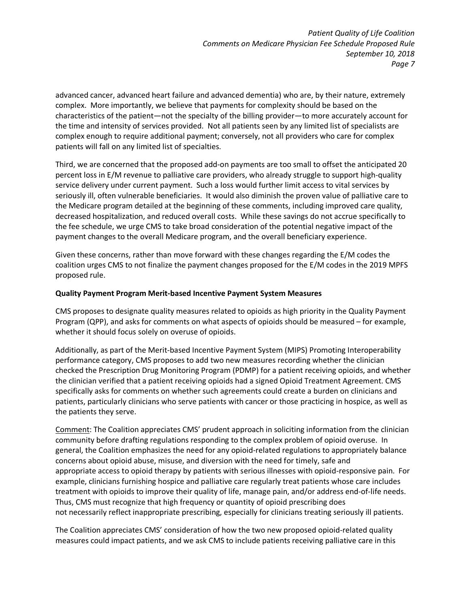advanced cancer, advanced heart failure and advanced dementia) who are, by their nature, extremely complex. More importantly, we believe that payments for complexity should be based on the characteristics of the patient—not the specialty of the billing provider—to more accurately account for the time and intensity of services provided. Not all patients seen by any limited list of specialists are complex enough to require additional payment; conversely, not all providers who care for complex patients will fall on any limited list of specialties.

Third, we are concerned that the proposed add-on payments are too small to offset the anticipated 20 percent loss in E/M revenue to palliative care providers, who already struggle to support high-quality service delivery under current payment. Such a loss would further limit access to vital services by seriously ill, often vulnerable beneficiaries. It would also diminish the proven value of palliative care to the Medicare program detailed at the beginning of these comments, including improved care quality, decreased hospitalization, and reduced overall costs. While these savings do not accrue specifically to the fee schedule, we urge CMS to take broad consideration of the potential negative impact of the payment changes to the overall Medicare program, and the overall beneficiary experience.

Given these concerns, rather than move forward with these changes regarding the E/M codes the coalition urges CMS to not finalize the payment changes proposed for the E/M codes in the 2019 MPFS proposed rule.

## **Quality Payment Program Merit-based Incentive Payment System Measures**

CMS proposes to designate quality measures related to opioids as high priority in the Quality Payment Program (QPP), and asks for comments on what aspects of opioids should be measured – for example, whether it should focus solely on overuse of opioids.

Additionally, as part of the Merit-based Incentive Payment System (MIPS) Promoting Interoperability performance category, CMS proposes to add two new measures recording whether the clinician checked the Prescription Drug Monitoring Program (PDMP) for a patient receiving opioids, and whether the clinician verified that a patient receiving opioids had a signed Opioid Treatment Agreement. CMS specifically asks for comments on whether such agreements could create a burden on clinicians and patients, particularly clinicians who serve patients with cancer or those practicing in hospice, as well as the patients they serve.

Comment: The Coalition appreciates CMS' prudent approach in soliciting information from the clinician community before drafting regulations responding to the complex problem of opioid overuse. In general, the Coalition emphasizes the need for any opioid-related regulations to appropriately balance concerns about opioid abuse, misuse, and diversion with the need for timely, safe and appropriate access to opioid therapy by patients with serious illnesses with opioid-responsive pain. For example, clinicians furnishing hospice and palliative care regularly treat patients whose care includes treatment with opioids to improve their quality of life, manage pain, and/or address end-of-life needs. Thus, CMS must recognize that high frequency or quantity of opioid prescribing does not necessarily reflect inappropriate prescribing, especially for clinicians treating seriously ill patients.

The Coalition appreciates CMS' consideration of how the two new proposed opioid-related quality measures could impact patients, and we ask CMS to include patients receiving palliative care in this